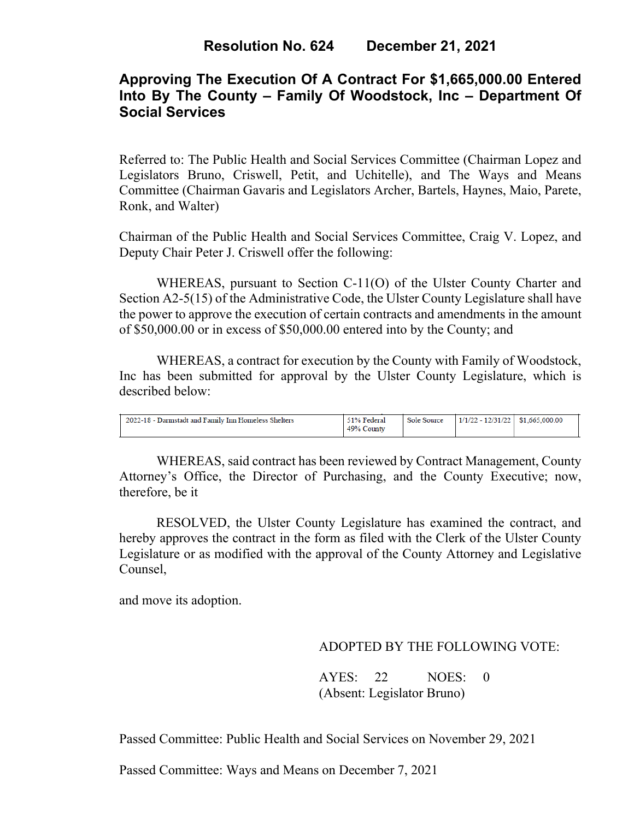# **Approving The Execution Of A Contract For \$1,665,000.00 Entered Into By The County – Family Of Woodstock, Inc – Department Of Social Services**

Referred to: The Public Health and Social Services Committee (Chairman Lopez and Legislators Bruno, Criswell, Petit, and Uchitelle), and The Ways and Means Committee (Chairman Gavaris and Legislators Archer, Bartels, Haynes, Maio, Parete, Ronk, and Walter)

Chairman of the Public Health and Social Services Committee, Craig V. Lopez, and Deputy Chair Peter J. Criswell offer the following:

WHEREAS, pursuant to Section C-11(O) of the Ulster County Charter and Section A2-5(15) of the Administrative Code, the Ulster County Legislature shall have the power to approve the execution of certain contracts and amendments in the amount of \$50,000.00 or in excess of \$50,000.00 entered into by the County; and

WHEREAS, a contract for execution by the County with Family of Woodstock, Inc has been submitted for approval by the Ulster County Legislature, which is described below:

| 2022-18 - Darmstadt and Family Inn Homeless Shelters | 51% Federal<br>49% County | Sole Source | $1/1/22 - 12/31/22$ \$1,665,000.00 |  |
|------------------------------------------------------|---------------------------|-------------|------------------------------------|--|
|                                                      |                           |             |                                    |  |

WHEREAS, said contract has been reviewed by Contract Management, County Attorney's Office, the Director of Purchasing, and the County Executive; now, therefore, be it

RESOLVED, the Ulster County Legislature has examined the contract, and hereby approves the contract in the form as filed with the Clerk of the Ulster County Legislature or as modified with the approval of the County Attorney and Legislative Counsel,

and move its adoption.

### ADOPTED BY THE FOLLOWING VOTE:

 AYES: 22 NOES: 0 (Absent: Legislator Bruno)

Passed Committee: Public Health and Social Services on November 29, 2021

Passed Committee: Ways and Means on December 7, 2021